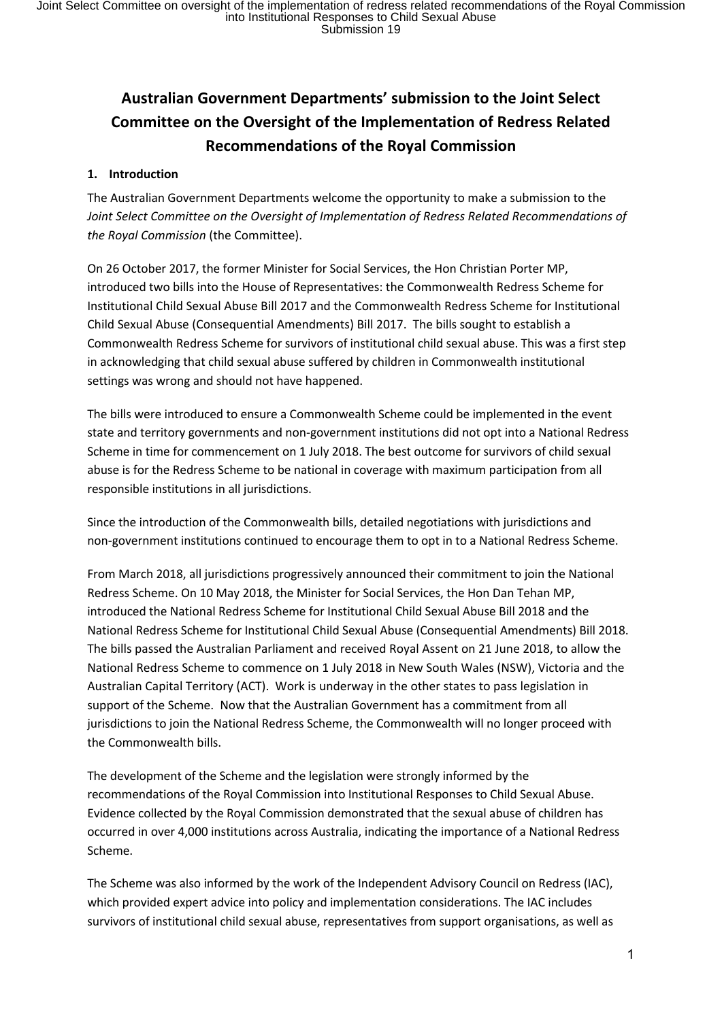# **Australian Government Departments' submission to the Joint Select Committee on the Oversight of the Implementation of Redress Related Recommendations of the Royal Commission**

# **1. Introduction**

The Australian Government Departments welcome the opportunity to make a submission to the *Joint Select Committee on the Oversight of Implementation of Redress Related Recommendations of the Royal Commission* (the Committee).

On 26 October 2017, the former Minister for Social Services, the Hon Christian Porter MP, introduced two bills into the House of Representatives: the Commonwealth Redress Scheme for Institutional Child Sexual Abuse Bill 2017 and the Commonwealth Redress Scheme for Institutional Child Sexual Abuse (Consequential Amendments) Bill 2017. The bills sought to establish a Commonwealth Redress Scheme for survivors of institutional child sexual abuse. This was a first step in acknowledging that child sexual abuse suffered by children in Commonwealth institutional settings was wrong and should not have happened.

The bills were introduced to ensure a Commonwealth Scheme could be implemented in the event state and territory governments and non-government institutions did not opt into a National Redress Scheme in time for commencement on 1 July 2018. The best outcome for survivors of child sexual abuse is for the Redress Scheme to be national in coverage with maximum participation from all responsible institutions in all jurisdictions.

Since the introduction of the Commonwealth bills, detailed negotiations with jurisdictions and non-government institutions continued to encourage them to opt in to a National Redress Scheme.

From March 2018, all jurisdictions progressively announced their commitment to join the National Redress Scheme. On 10 May 2018, the Minister for Social Services, the Hon Dan Tehan MP, introduced the National Redress Scheme for Institutional Child Sexual Abuse Bill 2018 and the National Redress Scheme for Institutional Child Sexual Abuse (Consequential Amendments) Bill 2018. The bills passed the Australian Parliament and received Royal Assent on 21 June 2018, to allow the National Redress Scheme to commence on 1 July 2018 in New South Wales (NSW), Victoria and the Australian Capital Territory (ACT). Work is underway in the other states to pass legislation in support of the Scheme. Now that the Australian Government has a commitment from all jurisdictions to join the National Redress Scheme, the Commonwealth will no longer proceed with the Commonwealth bills.

The development of the Scheme and the legislation were strongly informed by the recommendations of the Royal Commission into Institutional Responses to Child Sexual Abuse. Evidence collected by the Royal Commission demonstrated that the sexual abuse of children has occurred in over 4,000 institutions across Australia, indicating the importance of a National Redress Scheme.

The Scheme was also informed by the work of the Independent Advisory Council on Redress (IAC), which provided expert advice into policy and implementation considerations. The IAC includes survivors of institutional child sexual abuse, representatives from support organisations, as well as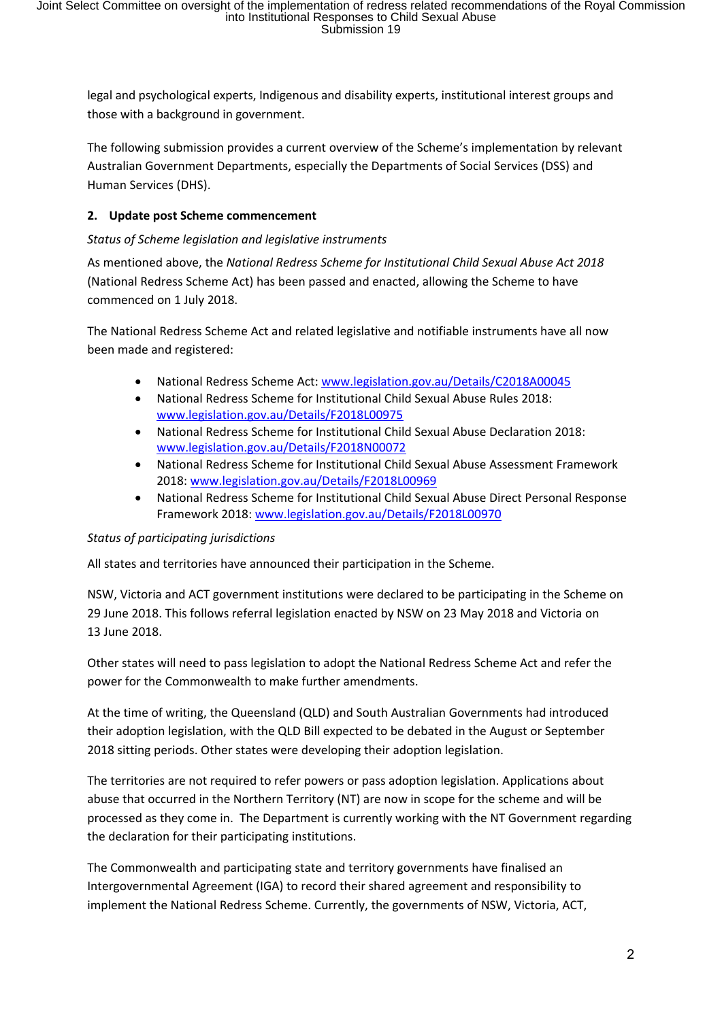legal and psychological experts, Indigenous and disability experts, institutional interest groups and those with a background in government.

The following submission provides a current overview of the Scheme's implementation by relevant Australian Government Departments, especially the Departments of Social Services (DSS) and Human Services (DHS).

# **2. Update post Scheme commencement**

# *Status of Scheme legislation and legislative instruments*

As mentioned above, the *National Redress Scheme for Institutional Child Sexual Abuse Act 2018* (National Redress Scheme Act) has been passed and enacted, allowing the Scheme to have commenced on 1 July 2018.

The National Redress Scheme Act and related legislative and notifiable instruments have all now been made and registered:

- National Redress Scheme Act: www.legislation.gov.au/Details/C2018A00045
- National Redress Scheme for Institutional Child Sexual Abuse Rules 2018: www.legislation.gov.au/Details/F2018L00975
- National Redress Scheme for Institutional Child Sexual Abuse Declaration 2018: www.legislation.gov.au/Details/F2018N00072
- National Redress Scheme for Institutional Child Sexual Abuse Assessment Framework 2018: www.legislation.gov.au/Details/F2018L00969
- National Redress Scheme for Institutional Child Sexual Abuse Direct Personal Response Framework 2018: www.legislation.gov.au/Details/F2018L00970

#### *Status of participating jurisdictions*

All states and territories have announced their participation in the Scheme.

NSW, Victoria and ACT government institutions were declared to be participating in the Scheme on 29 June 2018. This follows referral legislation enacted by NSW on 23 May 2018 and Victoria on 13 June 2018.

Other states will need to pass legislation to adopt the National Redress Scheme Act and refer the power for the Commonwealth to make further amendments.

At the time of writing, the Queensland (QLD) and South Australian Governments had introduced their adoption legislation, with the QLD Bill expected to be debated in the August or September 2018 sitting periods. Other states were developing their adoption legislation.

The territories are not required to refer powers or pass adoption legislation. Applications about abuse that occurred in the Northern Territory (NT) are now in scope for the scheme and will be processed as they come in. The Department is currently working with the NT Government regarding the declaration for their participating institutions.

The Commonwealth and participating state and territory governments have finalised an Intergovernmental Agreement (IGA) to record their shared agreement and responsibility to implement the National Redress Scheme. Currently, the governments of NSW, Victoria, ACT,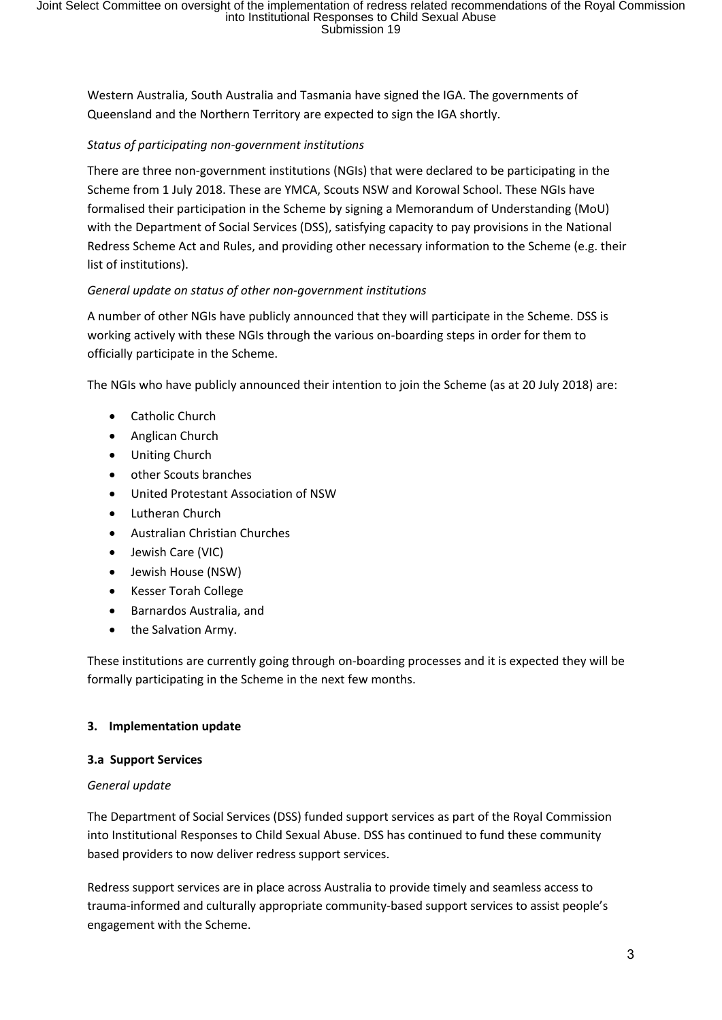Western Australia, South Australia and Tasmania have signed the IGA. The governments of Queensland and the Northern Territory are expected to sign the IGA shortly.

### *Status of participating non-government institutions*

There are three non-government institutions (NGIs) that were declared to be participating in the Scheme from 1 July 2018. These are YMCA, Scouts NSW and Korowal School. These NGIs have formalised their participation in the Scheme by signing a Memorandum of Understanding (MoU) with the Department of Social Services (DSS), satisfying capacity to pay provisions in the National Redress Scheme Act and Rules, and providing other necessary information to the Scheme (e.g. their list of institutions).

# *General update on status of other non-government institutions*

A number of other NGIs have publicly announced that they will participate in the Scheme. DSS is working actively with these NGIs through the various on-boarding steps in order for them to officially participate in the Scheme.

The NGIs who have publicly announced their intention to join the Scheme (as at 20 July 2018) are:

- Catholic Church
- Anglican Church
- Uniting Church
- other Scouts branches
- United Protestant Association of NSW
- Lutheran Church
- Australian Christian Churches
- Jewish Care (VIC)
- Jewish House (NSW)
- Kesser Torah College
- Barnardos Australia, and
- the Salvation Army.

These institutions are currently going through on-boarding processes and it is expected they will be formally participating in the Scheme in the next few months.

#### **3. Implementation update**

#### **3.a Support Services**

#### *General update*

The Department of Social Services (DSS) funded support services as part of the Royal Commission into Institutional Responses to Child Sexual Abuse. DSS has continued to fund these community based providers to now deliver redress support services.

Redress support services are in place across Australia to provide timely and seamless access to trauma-informed and culturally appropriate community-based support services to assist people's engagement with the Scheme.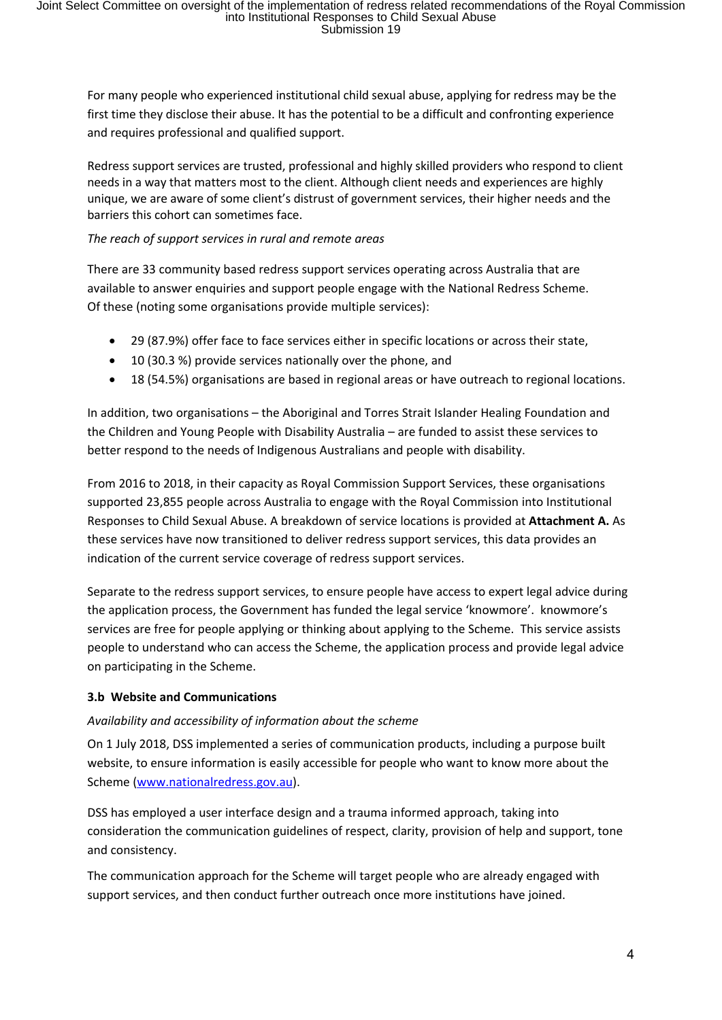For many people who experienced institutional child sexual abuse, applying for redress may be the first time they disclose their abuse. It has the potential to be a difficult and confronting experience and requires professional and qualified support.

Redress support services are trusted, professional and highly skilled providers who respond to client needs in a way that matters most to the client. Although client needs and experiences are highly unique, we are aware of some client's distrust of government services, their higher needs and the barriers this cohort can sometimes face.

### *The reach of support services in rural and remote areas*

There are 33 community based redress support services operating across Australia that are available to answer enquiries and support people engage with the National Redress Scheme. Of these (noting some organisations provide multiple services):

- 29 (87.9%) offer face to face services either in specific locations or across their state,
- 10 (30.3 %) provide services nationally over the phone, and
- 18 (54.5%) organisations are based in regional areas or have outreach to regional locations.

In addition, two organisations – the Aboriginal and Torres Strait Islander Healing Foundation and the Children and Young People with Disability Australia – are funded to assist these services to better respond to the needs of Indigenous Australians and people with disability.

From 2016 to 2018, in their capacity as Royal Commission Support Services, these organisations supported 23,855 people across Australia to engage with the Royal Commission into Institutional Responses to Child Sexual Abuse. A breakdown of service locations is provided at **Attachment A.** As these services have now transitioned to deliver redress support services, this data provides an indication of the current service coverage of redress support services.

Separate to the redress support services, to ensure people have access to expert legal advice during the application process, the Government has funded the legal service 'knowmore'. knowmore's services are free for people applying or thinking about applying to the Scheme. This service assists people to understand who can access the Scheme, the application process and provide legal advice on participating in the Scheme.

#### **3.b Website and Communications**

#### *Availability and accessibility of information about the scheme*

On 1 July 2018, DSS implemented a series of communication products, including a purpose built website, to ensure information is easily accessible for people who want to know more about the Scheme (www.nationalredress.gov.au).

DSS has employed a user interface design and a trauma informed approach, taking into consideration the communication guidelines of respect, clarity, provision of help and support, tone and consistency.

The communication approach for the Scheme will target people who are already engaged with support services, and then conduct further outreach once more institutions have joined.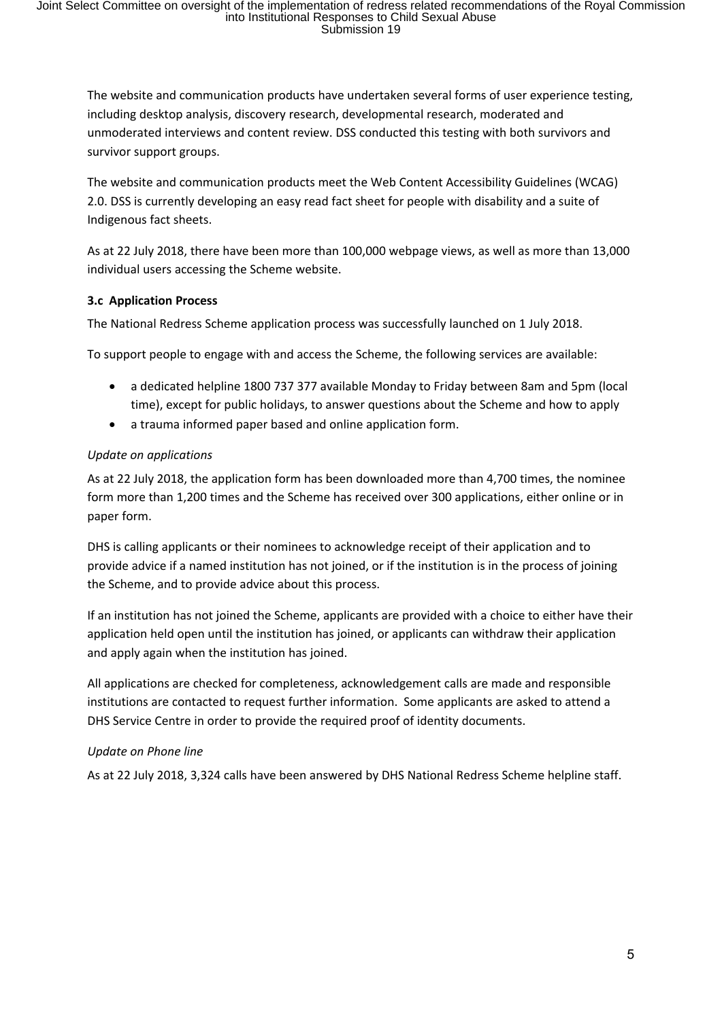The website and communication products have undertaken several forms of user experience testing, including desktop analysis, discovery research, developmental research, moderated and unmoderated interviews and content review. DSS conducted this testing with both survivors and survivor support groups.

The website and communication products meet the Web Content Accessibility Guidelines (WCAG) 2.0. DSS is currently developing an easy read fact sheet for people with disability and a suite of Indigenous fact sheets.

As at 22 July 2018, there have been more than 100,000 webpage views, as well as more than 13,000 individual users accessing the Scheme website.

#### **3.c Application Process**

The National Redress Scheme application process was successfully launched on 1 July 2018.

To support people to engage with and access the Scheme, the following services are available:

- a dedicated helpline 1800 737 377 available Monday to Friday between 8am and 5pm (local time), except for public holidays, to answer questions about the Scheme and how to apply
- a trauma informed paper based and online application form.

#### *Update on applications*

As at 22 July 2018, the application form has been downloaded more than 4,700 times, the nominee form more than 1,200 times and the Scheme has received over 300 applications, either online or in paper form.

DHS is calling applicants or their nominees to acknowledge receipt of their application and to provide advice if a named institution has not joined, or if the institution is in the process of joining the Scheme, and to provide advice about this process.

If an institution has not joined the Scheme, applicants are provided with a choice to either have their application held open until the institution has joined, or applicants can withdraw their application and apply again when the institution has joined.

All applications are checked for completeness, acknowledgement calls are made and responsible institutions are contacted to request further information. Some applicants are asked to attend a DHS Service Centre in order to provide the required proof of identity documents.

#### *Update on Phone line*

As at 22 July 2018, 3,324 calls have been answered by DHS National Redress Scheme helpline staff.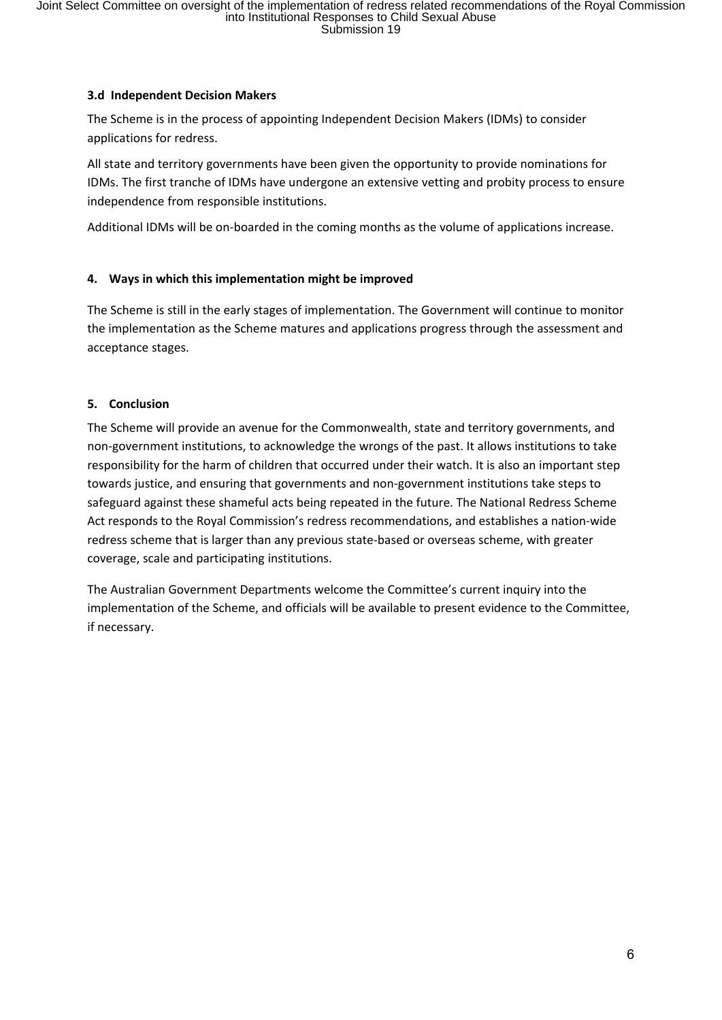### **3.d Independent Decision Makers**

The Scheme is in the process of appointing Independent Decision Makers (IDMs) to consider applications for redress.

All state and territory governments have been given the opportunity to provide nominations for IDMs. The first tranche of IDMs have undergone an extensive vetting and probity process to ensure independence from responsible institutions.

Additional IDMs will be on-boarded in the coming months as the volume of applications increase.

# **4. Ways in which this implementation might be improved**

The Scheme is still in the early stages of implementation. The Government will continue to monitor the implementation as the Scheme matures and applications progress through the assessment and acceptance stages.

# **5. Conclusion**

The Scheme will provide an avenue for the Commonwealth, state and territory governments, and non-government institutions, to acknowledge the wrongs of the past. It allows institutions to take responsibility for the harm of children that occurred under their watch. It is also an important step towards justice, and ensuring that governments and non-government institutions take steps to safeguard against these shameful acts being repeated in the future. The National Redress Scheme Act responds to the Royal Commission's redress recommendations, and establishes a nation-wide redress scheme that is larger than any previous state-based or overseas scheme, with greater coverage, scale and participating institutions.

The Australian Government Departments welcome the Committee's current inquiry into the implementation of the Scheme, and officials will be available to present evidence to the Committee, if necessary.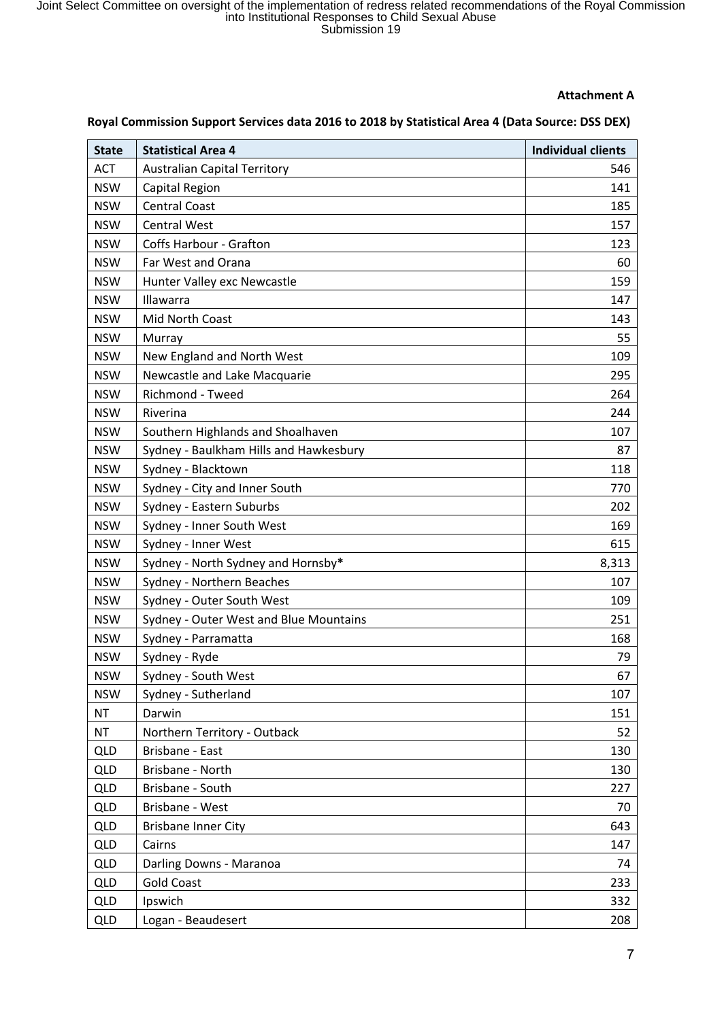#### **Attachment A**

#### **Royal Commission Support Services data 2016 to 2018 by Statistical Area 4 (Data Source: DSS DEX)**

| <b>State</b> | <b>Statistical Area 4</b>              | <b>Individual clients</b> |
|--------------|----------------------------------------|---------------------------|
| <b>ACT</b>   | <b>Australian Capital Territory</b>    | 546                       |
| <b>NSW</b>   | Capital Region                         | 141                       |
| <b>NSW</b>   | <b>Central Coast</b>                   | 185                       |
| <b>NSW</b>   | <b>Central West</b>                    | 157                       |
| <b>NSW</b>   | <b>Coffs Harbour - Grafton</b>         | 123                       |
| <b>NSW</b>   | Far West and Orana                     | 60                        |
| <b>NSW</b>   | Hunter Valley exc Newcastle            | 159                       |
| <b>NSW</b>   | Illawarra                              | 147                       |
| <b>NSW</b>   | <b>Mid North Coast</b>                 | 143                       |
| <b>NSW</b>   | Murray                                 | 55                        |
| <b>NSW</b>   | New England and North West             | 109                       |
| <b>NSW</b>   | Newcastle and Lake Macquarie           | 295                       |
| <b>NSW</b>   | Richmond - Tweed                       | 264                       |
| <b>NSW</b>   | Riverina                               | 244                       |
| <b>NSW</b>   | Southern Highlands and Shoalhaven      | 107                       |
| <b>NSW</b>   | Sydney - Baulkham Hills and Hawkesbury | 87                        |
| <b>NSW</b>   | Sydney - Blacktown                     | 118                       |
| <b>NSW</b>   | Sydney - City and Inner South          | 770                       |
| <b>NSW</b>   | Sydney - Eastern Suburbs               | 202                       |
| <b>NSW</b>   | Sydney - Inner South West              | 169                       |
| <b>NSW</b>   | Sydney - Inner West                    | 615                       |
| <b>NSW</b>   | Sydney - North Sydney and Hornsby*     | 8,313                     |
| <b>NSW</b>   | Sydney - Northern Beaches              | 107                       |
| <b>NSW</b>   | Sydney - Outer South West              | 109                       |
| <b>NSW</b>   | Sydney - Outer West and Blue Mountains | 251                       |
| <b>NSW</b>   | Sydney - Parramatta                    | 168                       |
| <b>NSW</b>   | Sydney - Ryde                          | 79                        |
| <b>NSW</b>   | Sydney - South West                    | 67                        |
| <b>NSW</b>   | Sydney - Sutherland                    | 107                       |
| <b>NT</b>    | Darwin                                 | 151                       |
| <b>NT</b>    | Northern Territory - Outback           | 52                        |
| <b>QLD</b>   | Brisbane - East                        | 130                       |
| <b>QLD</b>   | Brisbane - North                       | 130                       |
| <b>QLD</b>   | Brisbane - South                       | 227                       |
| <b>QLD</b>   | Brisbane - West                        | 70                        |
| <b>QLD</b>   | <b>Brisbane Inner City</b>             | 643                       |
| <b>QLD</b>   | Cairns                                 | 147                       |
| <b>QLD</b>   | Darling Downs - Maranoa                | 74                        |
| <b>QLD</b>   | <b>Gold Coast</b>                      | 233                       |
| <b>QLD</b>   | Ipswich                                | 332                       |
| <b>QLD</b>   | Logan - Beaudesert                     | 208                       |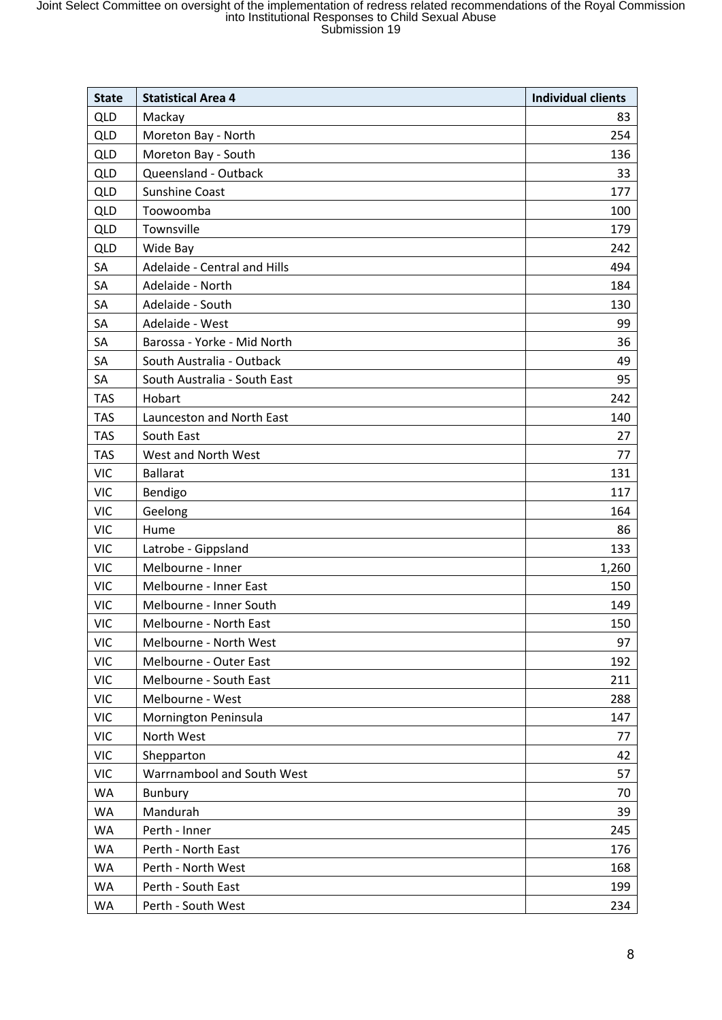| <b>State</b> | <b>Statistical Area 4</b>    | <b>Individual clients</b> |
|--------------|------------------------------|---------------------------|
| <b>QLD</b>   | Mackay                       | 83                        |
| <b>QLD</b>   | Moreton Bay - North          | 254                       |
| <b>QLD</b>   | Moreton Bay - South          | 136                       |
| <b>QLD</b>   | Queensland - Outback         | 33                        |
| <b>QLD</b>   | <b>Sunshine Coast</b>        | 177                       |
| <b>QLD</b>   | Toowoomba                    | 100                       |
| <b>QLD</b>   | Townsville                   | 179                       |
| <b>QLD</b>   | Wide Bay                     | 242                       |
| SA           | Adelaide - Central and Hills | 494                       |
| SA           | Adelaide - North             | 184                       |
| SA           | Adelaide - South             | 130                       |
| SA           | Adelaide - West              | 99                        |
| SA           | Barossa - Yorke - Mid North  | 36                        |
| SA           | South Australia - Outback    | 49                        |
| SA           | South Australia - South East | 95                        |
| <b>TAS</b>   | Hobart                       | 242                       |
| <b>TAS</b>   | Launceston and North East    | 140                       |
| <b>TAS</b>   | South East                   | 27                        |
| <b>TAS</b>   | West and North West          | 77                        |
| <b>VIC</b>   | <b>Ballarat</b>              | 131                       |
| <b>VIC</b>   | Bendigo                      | 117                       |
| <b>VIC</b>   | Geelong                      | 164                       |
| <b>VIC</b>   | Hume                         | 86                        |
| <b>VIC</b>   | Latrobe - Gippsland          | 133                       |
| <b>VIC</b>   | Melbourne - Inner            | 1,260                     |
| <b>VIC</b>   | Melbourne - Inner East       | 150                       |
| <b>VIC</b>   | Melbourne - Inner South      | 149                       |
| <b>VIC</b>   | Melbourne - North East       | 150                       |
| <b>VIC</b>   | Melbourne - North West       | 97                        |
| <b>VIC</b>   | Melbourne - Outer East       | 192                       |
| <b>VIC</b>   | Melbourne - South East       | 211                       |
| <b>VIC</b>   | Melbourne - West             | 288                       |
| <b>VIC</b>   | Mornington Peninsula         | 147                       |
| <b>VIC</b>   | North West                   | 77                        |
| <b>VIC</b>   | Shepparton                   | 42                        |
| <b>VIC</b>   | Warrnambool and South West   | 57                        |
| <b>WA</b>    | <b>Bunbury</b>               | 70                        |
| <b>WA</b>    | Mandurah                     | 39                        |
| <b>WA</b>    | Perth - Inner                | 245                       |
| <b>WA</b>    | Perth - North East           | 176                       |
| <b>WA</b>    | Perth - North West           | 168                       |
| WA           | Perth - South East           | 199                       |
| <b>WA</b>    | Perth - South West           | 234                       |